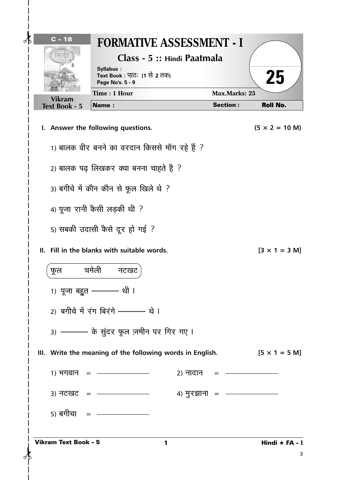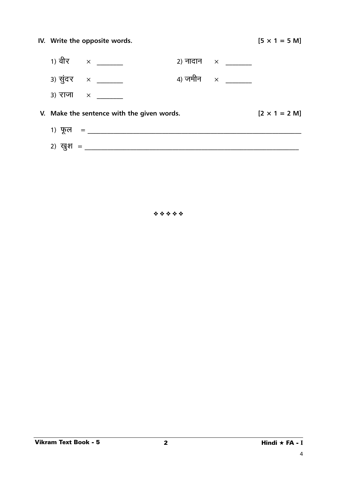|                | IV. Write the opposite words.              |                                                      | $[5 \times 1 = 5 \text{ M}]$ |
|----------------|--------------------------------------------|------------------------------------------------------|------------------------------|
|                | 1) वीर $\times$ _________                  | 2) नादान $\times$ _______                            |                              |
|                | 3) सुंदर $\times$ ______                   | 4) जमीन $\quad \times \quad \overline{\quad \quad }$ |                              |
|                | 3) राजा $\times$                           |                                                      |                              |
|                | V. Make the sentence with the given words. |                                                      | $[2 \times 1 = 2 M]$         |
|                | 1) फूल = ____________________________      |                                                      |                              |
| 2) खुश = _____ |                                            |                                                      |                              |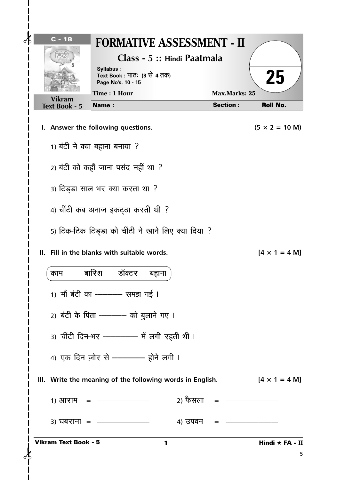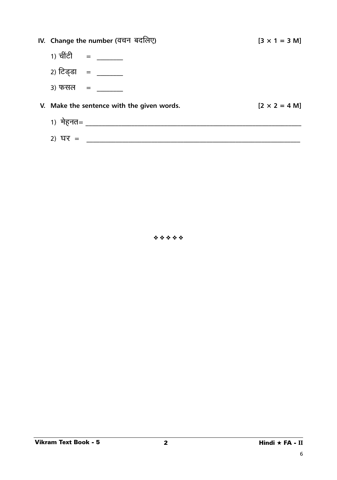|              | IV. Change the number (वचन) बर्दालेए)      | $[3 \times 1 = 3 \text{ M}]$ |
|--------------|--------------------------------------------|------------------------------|
| 1) चींटी $=$ |                                            |                              |
|              | 2) टिड्डा =                                |                              |
| 3) फसल     = |                                            |                              |
|              | V. Make the sentence with the given words. | $[2 \times 2 = 4 M]$         |
|              |                                            |                              |
| 2)<br>घर =   |                                            |                              |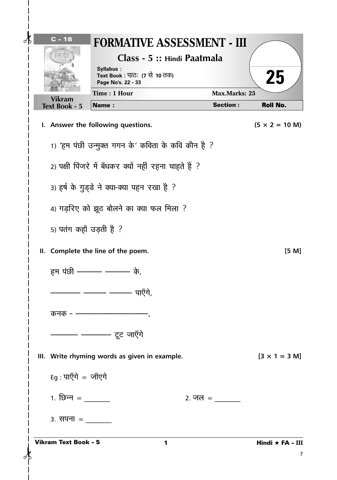| $\partial$ | $C - 18$<br>ನಡ              | <b>FORMATIVE ASSESSMENT - III</b><br>Class - 5 :: Hindi Paatmala<br>Syllabus:<br>Text Book : पाठः (7 से 10 तक)<br>Page No's. 22 - 33 |                      | 25                            |
|------------|-----------------------------|--------------------------------------------------------------------------------------------------------------------------------------|----------------------|-------------------------------|
|            | <b>Vikram</b>               | Time: 1 Hour                                                                                                                         | <b>Max.Marks: 25</b> |                               |
|            | <b>Text Book - 5</b>        | <b>Name:</b>                                                                                                                         | <b>Section:</b>      | <b>Roll No.</b>               |
|            |                             | I. Answer the following questions.                                                                                                   |                      | $(5 \times 2 = 10 \text{ M})$ |
|            |                             | 1) 'हम पंछी उन्मुक्त गगन के' कविता के कवि कौन है ?                                                                                   |                      |                               |
|            |                             | 2) पक्षी पिंजरे में बँधकर क्यों नहीं रहना चाहते हैं ?                                                                                |                      |                               |
|            |                             | 3) हर्ष के गुड्डे ने क्या-क्या पहन रखा है ?                                                                                          |                      |                               |
|            |                             | 4) गड़रिए को झूठ बोलने का क्या फल मिला ?                                                                                             |                      |                               |
|            |                             | 5) पतंग कहाँ उड़ती है ?                                                                                                              |                      |                               |
|            |                             | II. Complete the line of the poem.                                                                                                   |                      | [5 M]                         |
|            |                             | हम पंछी - - - - - - - - के,                                                                                                          |                      |                               |
|            |                             | पाऍगे<br>- --                                                                                                                        |                      |                               |
|            |                             |                                                                                                                                      |                      |                               |
|            |                             | ———— ———— टूट जाएँगे                                                                                                                 |                      |                               |
|            |                             | III. Write rhyming words as given in example.                                                                                        |                      | $[3 \times 1 = 3 \text{ M}]$  |
|            | Eg : पाएँगे = जाँएगे        |                                                                                                                                      |                      |                               |
|            |                             |                                                                                                                                      |                      |                               |
|            |                             |                                                                                                                                      |                      |                               |
|            | <b>Vikram Text Book - 5</b> | 1                                                                                                                                    |                      | Hindi ★ FA - III<br>7         |

 $\overline{\phantom{a}}$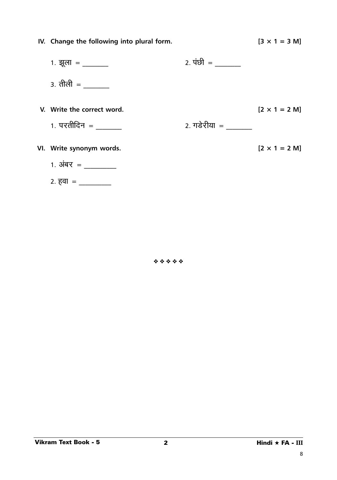| IV. Change the following into plural form.                 |                         | $[3 \times 1 = 3 \text{ M}]$ |
|------------------------------------------------------------|-------------------------|------------------------------|
| 1. झूला = ________                                         | 2. पंछी = $\frac{1}{2}$ |                              |
| 3. तीली = $\frac{1}{\sqrt{1-\frac{1}{2}}\cdot\frac{1}{2}}$ |                         |                              |
| V. Write the correct word.                                 |                         | $[2 \times 1 = 2 M]$         |
| 1. परतीदिन = $\frac{1}{1}$                                 | 2. गडेरीया  =           |                              |
| VI. Write synonym words.                                   |                         | $[2 \times 1 = 2 M]$         |
| 1. अंबर = $\frac{1}{2}$                                    |                         |                              |
| 2. हवा = $\frac{1}{\sqrt{2\pi}}$                           |                         |                              |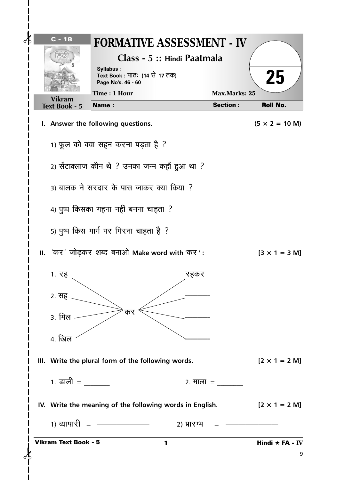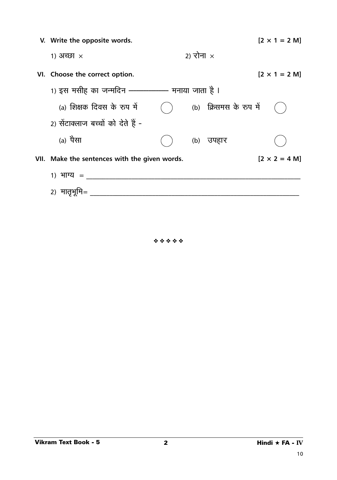| V. Write the opposite words.                  |                  |                        | $[2 \times 1 = 2 \text{ M}]$ |
|-----------------------------------------------|------------------|------------------------|------------------------------|
| 1) अच्छा $\times$                             | 2) रोना $\times$ |                        |                              |
| VI. Choose the correct option.                |                  |                        | $[2 \times 1 = 2 M]$         |
| 1) इस मसीह का जन्मदिन ——————— मनाया जाता है । |                  |                        |                              |
| (a) शिक्षक दिवस के रुप में                    |                  | (b) क्रिसमस के रुप में |                              |
| 2) सेंटाक्लाज बच्चों को देते हैं -            |                  |                        |                              |
| (a) पैसा                                      |                  | (b) उपहार              |                              |
| VII. Make the sentences with the given words. |                  |                        | $[2 \times 2 = 4 M]$         |
| 1) भाग्य =                                    |                  |                        |                              |
| 2) मातृभूमि=                                  |                  |                        |                              |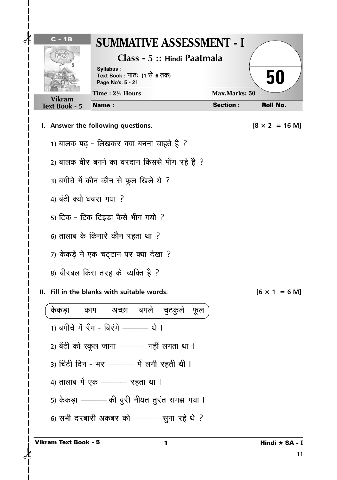| $C - 18$<br>$\partial\mathbf{k}$ | SUMMATIVE ASSESSMENT - I                                                                      |                      |                                 |
|----------------------------------|-----------------------------------------------------------------------------------------------|----------------------|---------------------------------|
| ೯ಡ                               | Class - 5 :: Hindi Paatmala<br>Syllabus:<br>Text Book : पाठः (1 से 6 तक)<br>Page No's. 5 - 21 |                      | 50                              |
| <b>Vikram</b>                    | Time: $2\frac{1}{2}$ Hours                                                                    | <b>Max.Marks: 50</b> |                                 |
| <b>Text Book - 5</b>             | <b>Name:</b>                                                                                  | <b>Section:</b>      | <b>Roll No.</b>                 |
|                                  | I. Answer the following questions.                                                            |                      | $[8 \times 2 = 16 \text{ M}]$   |
|                                  | 1) बालक पढ़ - लिखकर क्या बनना चाहते है ?                                                      |                      |                                 |
|                                  | 2) बालक वीर बनने का वरदान किससे माँग रहे है ?                                                 |                      |                                 |
|                                  | 3) बगीचे में कौन कौन से फूल खिले थे ?                                                         |                      |                                 |
| 4) बंटी क्यो धबरा गया ?          |                                                                                               |                      |                                 |
|                                  | 5) टिक - टिक टिइडा कैसे भीग गयो ?                                                             |                      |                                 |
|                                  | 6) तालाब के किनारे कौन रहता था ?                                                              |                      |                                 |
|                                  | 7) केकड़े ने एक चट्टान पर क्या देखा ?                                                         |                      |                                 |
|                                  | 8) बीरबल किस तरह के व्यक्ति है ?                                                              |                      |                                 |
|                                  | II. Fill in the blanks with suitable words.                                                   |                      | $[6 \times 1 = 6 \,\mathrm{M}]$ |
| केकड़ा                           | काम अच्छा बगले चुटकुले फूल                                                                    |                      |                                 |
|                                  | 1) बगीचे में रॅंग - बिरंगे ———— थे ।                                                          |                      |                                 |
|                                  | 2) बँटी को स्कूल जाना ——— नहीं लगता था ।                                                      |                      |                                 |
|                                  | 3) चिंटी दिन - भर ———— में लगी रहती थी ।                                                      |                      |                                 |
|                                  | 4) तालाब में एक ——— रहता था ।                                                                 |                      |                                 |
|                                  | 5) केकड़ा - - की बुरी नीयत तुरंत समझ गया।                                                     |                      |                                 |
|                                  | 6) सभी दरबारी अकबर को ——— सुना रहे थे ?                                                       |                      |                                 |
| <b>Vikram Text Book - 5</b>      |                                                                                               |                      | Hindi ★ SA - I<br>11            |

 $\mathsf{l}$  $\overline{\phantom{a}}$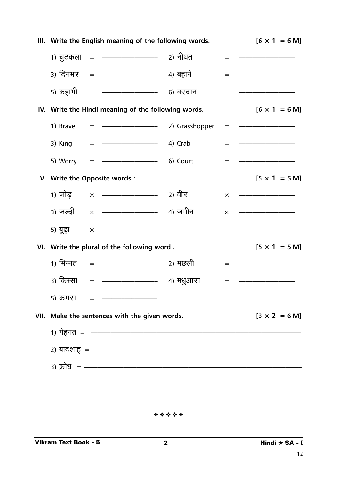|      | III. Write the English meaning of the following words. | $[6 \times 1 = 6 \,\mathrm{M}]$                                                                                                                                                                                                                                                                                            |          |                                 |
|------|--------------------------------------------------------|----------------------------------------------------------------------------------------------------------------------------------------------------------------------------------------------------------------------------------------------------------------------------------------------------------------------------|----------|---------------------------------|
|      |                                                        |                                                                                                                                                                                                                                                                                                                            | $=$      |                                 |
|      |                                                        |                                                                                                                                                                                                                                                                                                                            | $=$      |                                 |
|      |                                                        |                                                                                                                                                                                                                                                                                                                            | $=$      |                                 |
|      |                                                        | IV. Write the Hindi meaning of the following words.                                                                                                                                                                                                                                                                        |          | $[6 \times 1 = 6 \,\mathrm{M}]$ |
|      | 1) Brave                                               | $=$ $\frac{\ }{\ }$ 2) Grasshopper                                                                                                                                                                                                                                                                                         | $=$      |                                 |
|      | 3) King                                                | $=$ $\rightarrow$ 4) Crab                                                                                                                                                                                                                                                                                                  | $=$      |                                 |
|      | 5) Worry                                               | ———————————————————— 6) Court<br>$=$                                                                                                                                                                                                                                                                                       | $=$      |                                 |
|      |                                                        | V. Write the Opposite words :                                                                                                                                                                                                                                                                                              |          | $[5 \times 1 = 5 \text{ M}]$    |
|      | 1) जोड                                                 | $\times$ $\frac{1}{2}$ and $\frac{1}{2}$ and $\frac{1}{2}$ and $\frac{1}{2}$ and $\frac{1}{2}$ and $\frac{1}{2}$ and $\frac{1}{2}$ and $\frac{1}{2}$ and $\frac{1}{2}$ and $\frac{1}{2}$ and $\frac{1}{2}$ and $\frac{1}{2}$ and $\frac{1}{2}$ and $\frac{1}{2}$ and $\frac{1}{2}$ and $\frac{1}{$                         | $\times$ |                                 |
|      | 3) जल्दी                                               | × — <del>———————</del> 4) जमीन                                                                                                                                                                                                                                                                                             | $\times$ |                                 |
|      | 5) बूढ़ा                                               | $\times$ $\hspace{0.1cm}$ $\hspace{0.1cm}$ $\hspace{0.1cm}$ $\hspace{0.1cm}$ $\hspace{0.1cm}$ $\hspace{0.1cm}$ $\hspace{0.1cm}$ $\hspace{0.1cm}$ $\hspace{0.1cm}$ $\hspace{0.1cm}$ $\hspace{0.1cm}$ $\hspace{0.1cm}$ $\hspace{0.1cm}$ $\hspace{0.1cm}$ $\hspace{0.1cm}$ $\hspace{0.1cm}$ $\hspace{0.1cm}$ $\hspace{0.1cm}$ |          |                                 |
|      |                                                        | VI. Write the plural of the following word.                                                                                                                                                                                                                                                                                |          | $[5 \times 1 = 5 \text{ M}]$    |
|      | 1) मिन्नत                                              | ———————————————————— 2) मछली                                                                                                                                                                                                                                                                                               | $=$      |                                 |
|      | ३) किस्सा                                              | <u>- 4</u> ) मधुआरा<br>$\qquad \qquad =$                                                                                                                                                                                                                                                                                   | $=$      |                                 |
|      | 5) कमरा                                                | $=$                                                                                                                                                                                                                                                                                                                        |          |                                 |
| VII. |                                                        | Make the sentences with the given words.                                                                                                                                                                                                                                                                                   |          | $[3 \times 2 = 6 \text{ M}]$    |
|      |                                                        | 1) मेहनत =  —————————————————————————                                                                                                                                                                                                                                                                                      |          |                                 |
|      |                                                        | 2) बादशाह = ——————————————————————————————————                                                                                                                                                                                                                                                                             |          |                                 |
|      |                                                        | 3) क्रोध = —————————————————————                                                                                                                                                                                                                                                                                           |          |                                 |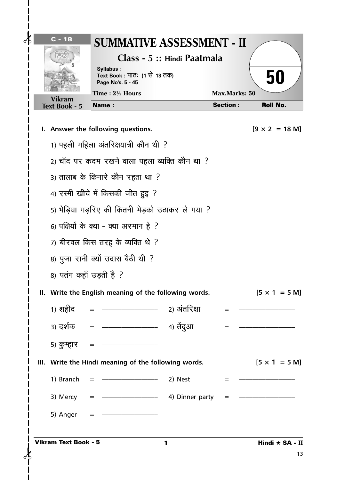| $\delta$<br>$C - 18$<br>ನಡ  | SUMMATIVE ASSESSMENT - II<br>Syllabus:<br>Text Book : पाठः (1 से 13 तक)<br>Page No's. 5 - 45 | Class - 5 :: Hindi Paatmala |                      | 50                            |  |  |
|-----------------------------|----------------------------------------------------------------------------------------------|-----------------------------|----------------------|-------------------------------|--|--|
| <b>Vikram</b>               | Time: 21/2 Hours                                                                             |                             | <b>Max.Marks: 50</b> |                               |  |  |
| <b>Text Book - 5</b>        | <b>Name:</b>                                                                                 |                             | <b>Section:</b>      | <b>Roll No.</b>               |  |  |
|                             | I. Answer the following questions.                                                           |                             |                      | $[9 \times 2 = 18 \text{ M}]$ |  |  |
|                             | 1) पहली महिला अंतरिक्षयात्री कौन थी ?                                                        |                             |                      |                               |  |  |
|                             | 2) चाँद पर कदम रखने वाला पहला व्यक्ति कौन था ?                                               |                             |                      |                               |  |  |
|                             | 3) तालाब के किनारे कौन रहता था ?                                                             |                             |                      |                               |  |  |
|                             | 4) रस्मी खीचे में किसकी जीत हुइ ?                                                            |                             |                      |                               |  |  |
|                             | 5) भेड़िया गड़रिए की कितनी भेड़को उठाकर ले गया ?                                             |                             |                      |                               |  |  |
|                             | 6) पक्षियों के क्या - क्या अरमान हे ?                                                        |                             |                      |                               |  |  |
|                             | 7) बीरवल किस तरह के व्यक्ति थे ?                                                             |                             |                      |                               |  |  |
|                             | 8) पुजा रानी क्यों उदास बैठी थी ?                                                            |                             |                      |                               |  |  |
| 8) पतंग कहाँ उड़ती है ?     |                                                                                              |                             |                      |                               |  |  |
|                             | II. Write the English meaning of the following words.                                        |                             |                      | $[5 \times 1 = 5 \text{ M}]$  |  |  |
| 1) शहीद =                   | ——————————— 2) अंतरिक्षा                                                                     |                             |                      |                               |  |  |
|                             |                                                                                              |                             | $=$ $-$              |                               |  |  |
| 5) कुम्हार                  |                                                                                              |                             |                      |                               |  |  |
|                             | III. Write the Hindi meaning of the following words.                                         |                             |                      | $[5 \times 1 = 5 \text{ M}]$  |  |  |
| 1) Branch                   |                                                                                              | 2) Nest                     |                      |                               |  |  |
|                             |                                                                                              |                             |                      |                               |  |  |
| 3) Mercy                    |                                                                                              | 4) Dinner party             | $=$                  |                               |  |  |
| 5) Anger                    |                                                                                              |                             |                      |                               |  |  |
| <b>Vikram Text Book - 5</b> |                                                                                              | 1                           |                      | Hindi ★ SA - II<br>13         |  |  |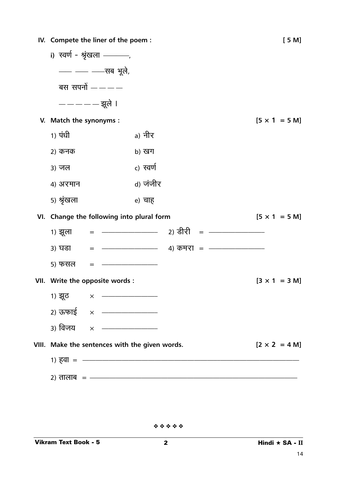|                         | IV. Compete the liner of the poem:             |           |                                                 | [5M]                         |
|-------------------------|------------------------------------------------|-----------|-------------------------------------------------|------------------------------|
|                         | i) स्वर्ण - श्रृंखला ———,                      |           |                                                 |                              |
|                         | - - - - - सब भूले,                             |           |                                                 |                              |
|                         | बस सपनों $---$                                 |           |                                                 |                              |
|                         | ————— झूले ।                                   |           |                                                 |                              |
| V. Match the synonyms : |                                                |           |                                                 | $[5 \times 1 = 5 M]$         |
| 1) पंधी                 |                                                | a) नीर    |                                                 |                              |
| 2) कनक                  |                                                | b) खग     |                                                 |                              |
| 3) जल                   |                                                | c) स्वर्ण |                                                 |                              |
| 4) अरमान                |                                                | d) जंजीर  |                                                 |                              |
| ५) श्रृंखला             |                                                | e) चाह    |                                                 |                              |
|                         | VI. Change the following into plural form      |           |                                                 | $[5 \times 1 = 5 \text{ M}]$ |
|                         |                                                |           |                                                 |                              |
|                         |                                                |           |                                                 |                              |
| ३) घडा                  |                                                |           |                                                 |                              |
| 5) फंसल                 |                                                |           |                                                 |                              |
|                         | VII. Write the opposite words :                |           |                                                 | $[3 \times 1 = 3 \text{ M}]$ |
| 1) झूठ                  | $\times$                                       |           |                                                 |                              |
|                         | 2) ऊफाई × ———————                              |           |                                                 |                              |
|                         | 3) विजय x — <del>——————</del>                  |           |                                                 |                              |
|                         | VIII. Make the sentences with the given words. |           |                                                 | $[2 \times 2 = 4 M]$         |
|                         |                                                |           | 1) $\overline{6}$ वा = $\overline{\phantom{a}}$ |                              |
|                         |                                                |           | 2) तालाब = —————————————————————                |                              |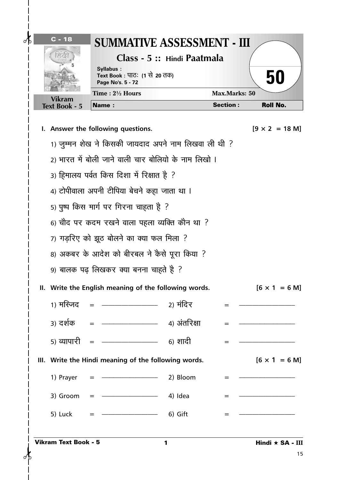|                      | Syllabus:<br>Text Book : पाठः (1 से 20 तक)<br>Page No's. 5 - 72 |                      | 50                            |
|----------------------|-----------------------------------------------------------------|----------------------|-------------------------------|
| <b>Vikram</b>        | Time: $2\frac{1}{2}$ Hours                                      | <b>Max.Marks: 50</b> |                               |
| <b>Text Book - 5</b> | <b>Name:</b>                                                    | <b>Section:</b>      | <b>Roll No.</b>               |
|                      | I. Answer the following questions.                              |                      | $[9 \times 2 = 18 \text{ M}]$ |
|                      | 1) जुम्मन शेख ने किसकी जायदाद अपने नाम लिखवा ली थी ?            |                      |                               |
|                      | 2) भारत में बोली जाने वाली चार बोलियो के नाम लिखो ।             |                      |                               |
|                      | 3) हिमालय पर्वत किस दिशा में रिक्षात है ?                       |                      |                               |
|                      | 4) टोपीवाला अपनी टीपिया बेचने कहा जाता था ।                     |                      |                               |
|                      | 5) पुष्प किस मार्ग पर गिरना चाहता है ?                          |                      |                               |
|                      | 6) चौद पर कदम रखने वाला पहला व्यक्ति कौन था ?                   |                      |                               |
|                      | 7) गड़रिए को झूठ बोलने का क्या फल मिला ?                        |                      |                               |
|                      | 8) अकबर के आदेश को बीरबल ने कैसे पूरा किया ?                    |                      |                               |
|                      | 9) बालक पढ़ लिखकर क्या बनना चाहते है ?                          |                      |                               |
|                      | II. Write the English meaning of the following words.           |                      | $[6 \times 1 = 6 \text{ M}]$  |
|                      | 1) मस्जिद   =  ————————————— 2) मंदिर                           | $=$ $-$              |                               |
|                      |                                                                 | $=$                  |                               |
|                      |                                                                 |                      |                               |
|                      | III. Write the Hindi meaning of the following words.            |                      | $[6 \times 1 = 6 \text{ M}]$  |
| 1) Prayer            | $=$ $\frac{\ }{\ }$ 2) Bloom                                    |                      |                               |
|                      | 3) Groom = $\frac{1}{2}$ 4) Idea                                | $=$                  |                               |
| 5) Luck              | $=$ $\frac{\ }{}$ 6) Gift                                       |                      |                               |

 $\overline{\phantom{a}}$ 

 $\frac{1}{1}$